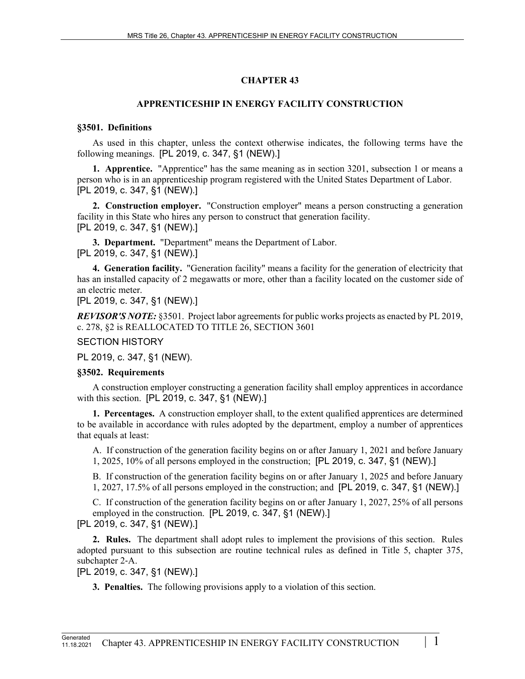# **CHAPTER 43**

## **APPRENTICESHIP IN ENERGY FACILITY CONSTRUCTION**

#### **§3501. Definitions**

As used in this chapter, unless the context otherwise indicates, the following terms have the following meanings. [PL 2019, c. 347, §1 (NEW).]

**1. Apprentice.** "Apprentice" has the same meaning as in section 3201, subsection 1 or means a person who is in an apprenticeship program registered with the United States Department of Labor. [PL 2019, c. 347, §1 (NEW).]

**2. Construction employer.** "Construction employer" means a person constructing a generation facility in this State who hires any person to construct that generation facility. [PL 2019, c. 347, §1 (NEW).]

**3. Department.** "Department" means the Department of Labor. [PL 2019, c. 347, §1 (NEW).]

**4. Generation facility.** "Generation facility" means a facility for the generation of electricity that has an installed capacity of 2 megawatts or more, other than a facility located on the customer side of an electric meter.

[PL 2019, c. 347, §1 (NEW).]

*REVISOR'S NOTE:* §3501. Project labor agreements for public works projects as enacted by PL 2019, c. 278, §2 is REALLOCATED TO TITLE 26, SECTION 3601

### SECTION HISTORY

PL 2019, c. 347, §1 (NEW).

#### **§3502. Requirements**

A construction employer constructing a generation facility shall employ apprentices in accordance with this section. [PL 2019, c. 347, §1 (NEW).]

**1. Percentages.** A construction employer shall, to the extent qualified apprentices are determined to be available in accordance with rules adopted by the department, employ a number of apprentices that equals at least:

A. If construction of the generation facility begins on or after January 1, 2021 and before January 1, 2025, 10% of all persons employed in the construction; [PL 2019, c. 347, §1 (NEW).]

B. If construction of the generation facility begins on or after January 1, 2025 and before January 1, 2027, 17.5% of all persons employed in the construction; and [PL 2019, c. 347, §1 (NEW).]

C. If construction of the generation facility begins on or after January 1, 2027, 25% of all persons employed in the construction. [PL 2019, c. 347, §1 (NEW).] [PL 2019, c. 347, §1 (NEW).]

**2. Rules.** The department shall adopt rules to implement the provisions of this section. Rules adopted pursuant to this subsection are routine technical rules as defined in Title 5, chapter 375, subchapter 2‑A.

[PL 2019, c. 347, §1 (NEW).]

**3. Penalties.** The following provisions apply to a violation of this section.